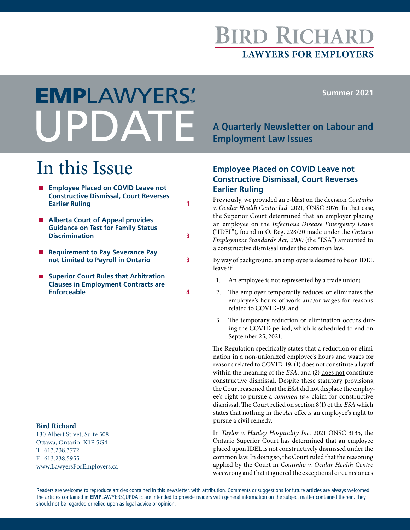# **BIRD RICHARI LAWYERS FOR EMPLOYERS**

**Summer 2021**

# **A Quarterly Newsletter on Labour and Employment Law Issues** EMPLAWYERS'**™**

# In this Issue

| <b>Employee Placed on COVID Leave not</b><br><b>Constructive Dismissal, Court Reverses</b><br><b>Earlier Ruling</b> |   |
|---------------------------------------------------------------------------------------------------------------------|---|
| <b>Alberta Court of Appeal provides</b><br><b>Guidance on Test for Family Status</b><br><b>Discrimination</b>       | 3 |
| <b>Requirement to Pay Severance Pay</b><br>not Limited to Payroll in Ontario                                        | 3 |
| <b>Superior Court Rules that Arbitration</b><br><b>Clauses in Employment Contracts are</b><br><b>Enforceable</b>    |   |

#### **Bird Richard**

130 Albert Street, Suite 508 Ottawa, Ontario K1P 5G4 T 613.238.3772 F 613.238.5955 www.LawyersForEmployers.ca

## **Employee Placed on COVID Leave not Constructive Dismissal, Court Reverses Earlier Ruling**

Previously, we provided an e-blast on the decision *Coutinho v. Ocular Health Centre Ltd.* 2021, ONSC 3076. In that case, the Superior Court determined that an employer placing an employee on the *Infectious Disease Emergency Leave*  ("IDEL")*,* found in O. Reg. 228/20 made under the *Ontario Employment Standards Act, 2000* (the "ESA") amounted to a constructive dismissal under the common law.

By way of background, an employee is deemed to be on IDEL leave if:

- 1. An employee is not represented by a trade union;
- 2. The employer temporarily reduces or eliminates the employee's hours of work and/or wages for reasons related to COVID-19; and
- 3. The temporary reduction or elimination occurs during the COVID period, which is scheduled to end on September 25, 2021.

The Regulation specifically states that a reduction or elimination in a non-unionized employee's hours and wages for reasons related to COVID-19, (1) does not constitute a layoff within the meaning of the *ESA*, and (2) does not constitute constructive dismissal. Despite these statutory provisions, the Court reasoned that the *ESA* did not displace the employee's right to pursue a *common law* claim for constructive dismissal. The Court relied on section 8(1) of the *ESA* which states that nothing in the *Act* effects an employee's right to pursue a civil remedy.

In *Taylor v. Hanley Hospitality Inc.* 2021 ONSC 3135, the Ontario Superior Court has determined that an employee placed upon IDEL is not constructively dismissed under the common law. In doing so, the Court ruled that the reasoning applied by the Court in *Coutinho v. Ocular Health Centre* was wrong and that it ignored the exceptional circumstances

Readers are welcome to reproduce articles contained in this newsletter, with attribution. Comments or suggestions for future articles are always welcomed. The articles contained in EMPLAWYERS'. UPDATE are intended to provide readers with general information on the subject matter contained therein. They should not be regarded or relied upon as legal advice or opinion.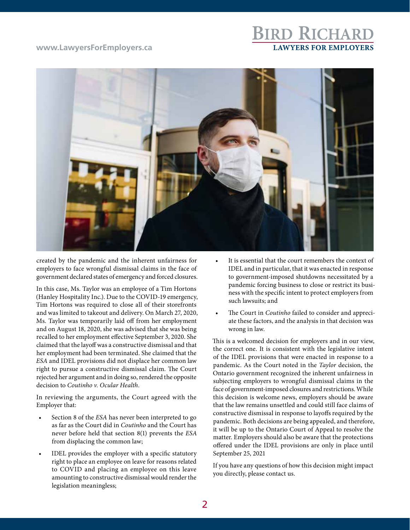#### **www.LawyersForEmployers.ca**

# **BIRD RICHARD LAWYERS FOR EMPLOYERS**



created by the pandemic and the inherent unfairness for employers to face wrongful dismissal claims in the face of government declared states of emergency and forced closures.

In this case, Ms. Taylor was an employee of a Tim Hortons (Hanley Hospitality Inc.). Due to the COVID-19 emergency, Tim Hortons was required to close all of their storefronts and was limited to takeout and delivery. On March 27, 2020, Ms. Taylor was temporarily laid off from her employment and on August 18, 2020, she was advised that she was being recalled to her employment effective September 3, 2020. She claimed that the layoff was a constructive dismissal and that her employment had been terminated. She claimed that the *ESA* and IDEL provisions did not displace her common law right to pursue a constructive dismissal claim. The Court rejected her argument and in doing so, rendered the opposite decision to *Coutinho v. Ocular Health*.

In reviewing the arguments, the Court agreed with the Employer that:

- Section 8 of the *ESA* has never been interpreted to go as far as the Court did in *Coutinho* and the Court has never before held that section 8(1) prevents the *ESA* from displacing the common law;
- IDEL provides the employer with a specific statutory right to place an employee on leave for reasons related to COVID and placing an employee on this leave amounting to constructive dismissal would render the legislation meaningless;
- It is essential that the court remembers the context of IDEL and in particular, that it was enacted in response to government-imposed shutdowns necessitated by a pandemic forcing business to close or restrict its business with the specific intent to protect employers from such lawsuits; and
- The Court in *Coutinho* failed to consider and appreciate these factors, and the analysis in that decision was wrong in law.

This is a welcomed decision for employers and in our view, the correct one. It is consistent with the legislative intent of the IDEL provisions that were enacted in response to a pandemic. As the Court noted in the *Taylor* decision, the Ontario government recognized the inherent unfairness in subjecting employers to wrongful dismissal claims in the face of government-imposed closures and restrictions. While this decision is welcome news, employers should be aware that the law remains unsettled and could still face claims of constructive dismissal in response to layoffs required by the pandemic. Both decisions are being appealed, and therefore, it will be up to the Ontario Court of Appeal to resolve the matter. Employers should also be aware that the protections offered under the IDEL provisions are only in place until September 25, 2021

If you have any questions of how this decision might impact you directly, please contact us.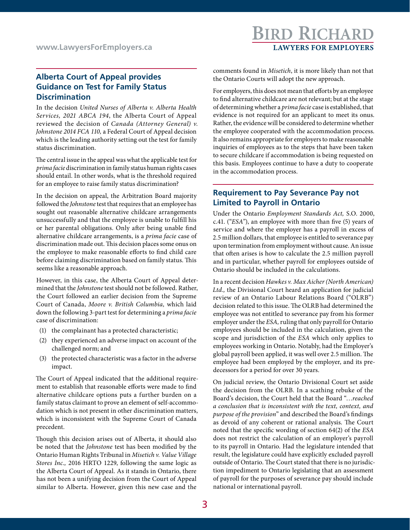# **BIRD RICHARD LAWYERS FOR EMPLOYERS**

## **Alberta Court of Appeal provides Guidance on Test for Family Status Discrimination**

In the decision *United Nurses of Alberta v. Alberta Health Services, 2021 ABCA 194*, the Alberta Court of Appeal reviewed the decision of *Canada (Attorney General) v. Johnstone 2014 FCA 110,* a Federal Court of Appeal decision which is the leading authority setting out the test for family status discrimination.

The central issue in the appeal was what the applicable test for *prima facie* discrimination in family status human rights cases should entail. In other words, what is the threshold required for an employee to raise family status discrimination?

In the decision on appeal, the Arbitration Board majority followed the *Johnstone* test that requires that an employee has sought out reasonable alternative childcare arrangements unsuccessfully and that the employee is unable to fulfill his or her parental obligations. Only after being unable find alternative childcare arrangements, is a *prima facie* case of discrimination made out. This decision places some onus on the employee to make reasonable efforts to find child care before claiming discrimination based on family status. This seems like a reasonable approach.

However, in this case, the Alberta Court of Appeal determined that the *Johnstone* test should not be followed. Rather, the Court followed an earlier decision from the Supreme Court of Canada, *Moore v. British Columbia,* which laid down the following 3-part test for determining a *prima facie* case of discrimination:

- (1) the complainant has a protected characteristic;
- (2) they experienced an adverse impact on account of the challenged norm; and
- (3) the protected characteristic was a factor in the adverse impact.

The Court of Appeal indicated that the additional requirement to establish that reasonable efforts were made to find alternative childcare options puts a further burden on a family status claimant to prove an element of self-accommodation which is not present in other discrimination matters, which is inconsistent with the Supreme Court of Canada precedent.

Though this decision arises out of Alberta, it should also be noted that the *Johnstone* test has been modified by the Ontario Human Rights Tribunal in *Misetich v. Value Village Stores Inc.,* 2016 HRTO 1229, following the same logic as the Alberta Court of Appeal. As it stands in Ontario, there has not been a unifying decision from the Court of Appeal similar to Alberta. However, given this new case and the comments found in *Misetich*, it is more likely than not that the Ontario Courts will adopt the new approach.

For employers, this does not mean that efforts by an employee to find alternative childcare are not relevant; but at the stage of determining whether a *prima facie* case is established, that evidence is not required for an applicant to meet its onus. Rather, the evidence will be considered to determine whether the employee cooperated with the accommodation process. It also remains appropriate for employers to make reasonable inquiries of employees as to the steps that have been taken to secure childcare if accommodation is being requested on this basis. Employees continue to have a duty to cooperate in the accommodation process.

#### **Requirement to Pay Severance Pay not Limited to Payroll in Ontario**

Under the Ontario *Employment Standards Act,* S.O. 2000, c.41. ("*ESA"*), an employee with more than five (5) years of service and where the employer has a payroll in excess of 2.5 million dollars, that employee is entitled to severance pay upon termination from employment without cause. An issue that often arises is how to calculate the 2.5 million payroll and in particular, whether payroll for employees outside of Ontario should be included in the calculations.

In a recent decision *Hawkes v. Max Aicher (North American) Ltd.,* the Divisional Court heard an application for judicial review of an Ontario Labour Relations Board ("OLRB") decision related to this issue. The OLRB had determined the employee was not entitled to severance pay from his former employer under the *ESA,* ruling that only payroll for Ontario employees should be included in the calculation, given the scope and jurisdiction of the *ESA* which only applies to employees working in Ontario. Notably, had the Employer's global payroll been applied, it was well over 2.5 million. The employee had been employed by the employer, and its predecessors for a period for over 30 years.

On judicial review, the Ontario Divisional Court set aside the decision from the OLRB. In a scathing rebuke of the Board's decision, the Court held that the Board "…*reached a conclusion that is inconsistent with the text, context, and purpose of the provision*" and described the Board's findings as devoid of any coherent or rational analysis. The Court noted that the specific wording of section 64(2) of the *ESA* does not restrict the calculation of an employer's payroll to its payroll in Ontario. Had the legislature intended that result, the legislature could have explicitly excluded payroll outside of Ontario. The Court stated that there is no jurisdiction impediment to Ontario legislating that an assessment of payroll for the purposes of severance pay should include national or international payroll.